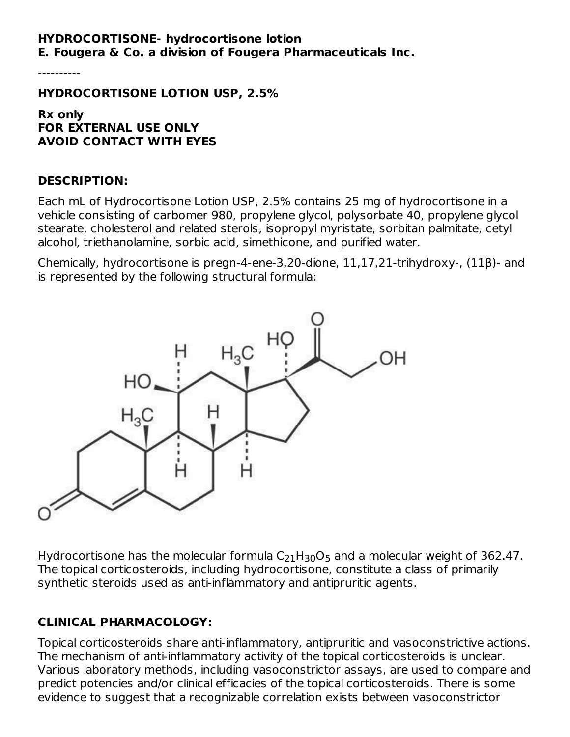## **HYDROCORTISONE- hydrocortisone lotion E. Fougera & Co. a division of Fougera Pharmaceuticals Inc.**

----------

**HYDROCORTISONE LOTION USP, 2.5%**

#### **Rx only FOR EXTERNAL USE ONLY AVOID CONTACT WITH EYES**

#### **DESCRIPTION:**

Each mL of Hydrocortisone Lotion USP, 2.5% contains 25 mg of hydrocortisone in a vehicle consisting of carbomer 980, propylene glycol, polysorbate 40, propylene glycol stearate, cholesterol and related sterols, isopropyl myristate, sorbitan palmitate, cetyl alcohol, triethanolamine, sorbic acid, simethicone, and purified water.

Chemically, hydrocortisone is pregn-4-ene-3,20-dione, 11,17,21-trihydroxy-, (11β)- and is represented by the following structural formula:



Hydrocortisone has the molecular formula  $\mathsf{C}_{21}\mathsf{H}_{30}\mathsf{O}_5$  and a molecular weight of 362.47. The topical corticosteroids, including hydrocortisone, constitute a class of primarily synthetic steroids used as anti-inflammatory and antipruritic agents.

## **CLINICAL PHARMACOLOGY:**

Topical corticosteroids share anti-inflammatory, antipruritic and vasoconstrictive actions. The mechanism of anti-inflammatory activity of the topical corticosteroids is unclear. Various laboratory methods, including vasoconstrictor assays, are used to compare and predict potencies and/or clinical efficacies of the topical corticosteroids. There is some evidence to suggest that a recognizable correlation exists between vasoconstrictor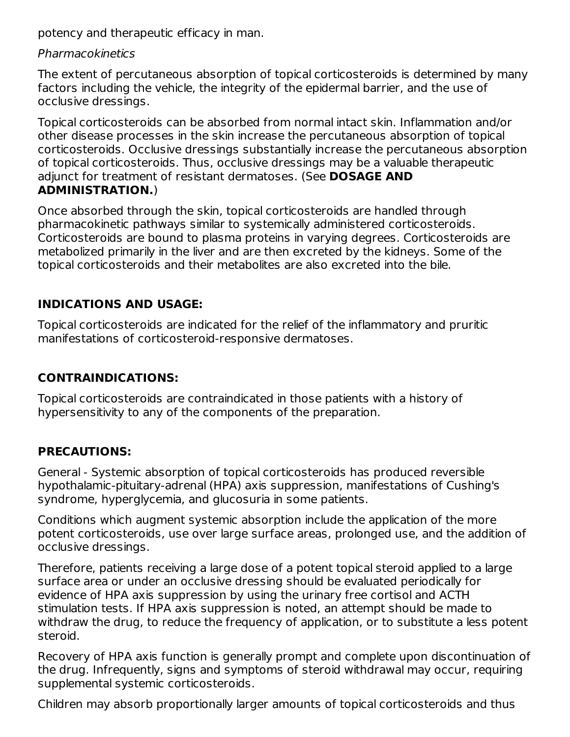potency and therapeutic efficacy in man.

## Pharmacokinetics

The extent of percutaneous absorption of topical corticosteroids is determined by many factors including the vehicle, the integrity of the epidermal barrier, and the use of occlusive dressings.

Topical corticosteroids can be absorbed from normal intact skin. Inflammation and/or other disease processes in the skin increase the percutaneous absorption of topical corticosteroids. Occlusive dressings substantially increase the percutaneous absorption of topical corticosteroids. Thus, occlusive dressings may be a valuable therapeutic adjunct for treatment of resistant dermatoses. (See **DOSAGE AND ADMINISTRATION.**)

Once absorbed through the skin, topical corticosteroids are handled through pharmacokinetic pathways similar to systemically administered corticosteroids. Corticosteroids are bound to plasma proteins in varying degrees. Corticosteroids are metabolized primarily in the liver and are then excreted by the kidneys. Some of the topical corticosteroids and their metabolites are also excreted into the bile.

# **INDICATIONS AND USAGE:**

Topical corticosteroids are indicated for the relief of the inflammatory and pruritic manifestations of corticosteroid-responsive dermatoses.

# **CONTRAINDICATIONS:**

Topical corticosteroids are contraindicated in those patients with a history of hypersensitivity to any of the components of the preparation.

# **PRECAUTIONS:**

General - Systemic absorption of topical corticosteroids has produced reversible hypothalamic-pituitary-adrenal (HPA) axis suppression, manifestations of Cushing's syndrome, hyperglycemia, and glucosuria in some patients.

Conditions which augment systemic absorption include the application of the more potent corticosteroids, use over large surface areas, prolonged use, and the addition of occlusive dressings.

Therefore, patients receiving a large dose of a potent topical steroid applied to a large surface area or under an occlusive dressing should be evaluated periodically for evidence of HPA axis suppression by using the urinary free cortisol and ACTH stimulation tests. If HPA axis suppression is noted, an attempt should be made to withdraw the drug, to reduce the frequency of application, or to substitute a less potent steroid.

Recovery of HPA axis function is generally prompt and complete upon discontinuation of the drug. Infrequently, signs and symptoms of steroid withdrawal may occur, requiring supplemental systemic corticosteroids.

Children may absorb proportionally larger amounts of topical corticosteroids and thus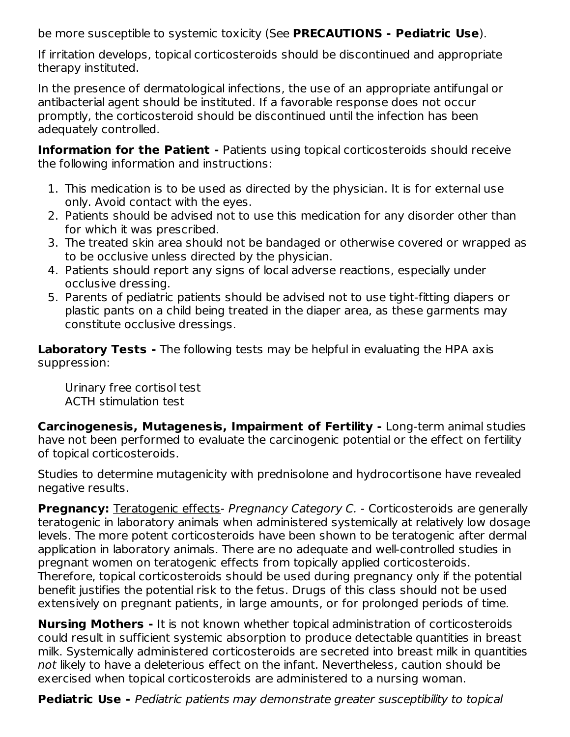be more susceptible to systemic toxicity (See **PRECAUTIONS - Pediatric Use**).

If irritation develops, topical corticosteroids should be discontinued and appropriate therapy instituted.

In the presence of dermatological infections, the use of an appropriate antifungal or antibacterial agent should be instituted. If a favorable response does not occur promptly, the corticosteroid should be discontinued until the infection has been adequately controlled.

**Information for the Patient -** Patients using topical corticosteroids should receive the following information and instructions:

- 1. This medication is to be used as directed by the physician. It is for external use only. Avoid contact with the eyes.
- 2. Patients should be advised not to use this medication for any disorder other than for which it was prescribed.
- 3. The treated skin area should not be bandaged or otherwise covered or wrapped as to be occlusive unless directed by the physician.
- 4. Patients should report any signs of local adverse reactions, especially under occlusive dressing.
- 5. Parents of pediatric patients should be advised not to use tight-fitting diapers or plastic pants on a child being treated in the diaper area, as these garments may constitute occlusive dressings.

**Laboratory Tests -** The following tests may be helpful in evaluating the HPA axis suppression:

Urinary free cortisol test ACTH stimulation test

**Carcinogenesis, Mutagenesis, Impairment of Fertility -** Long-term animal studies have not been performed to evaluate the carcinogenic potential or the effect on fertility of topical corticosteroids.

Studies to determine mutagenicity with prednisolone and hydrocortisone have revealed negative results.

**Pregnancy:** Teratogenic effects- Pregnancy Category C. - Corticosteroids are generally teratogenic in laboratory animals when administered systemically at relatively low dosage levels. The more potent corticosteroids have been shown to be teratogenic after dermal application in laboratory animals. There are no adequate and well-controlled studies in pregnant women on teratogenic effects from topically applied corticosteroids. Therefore, topical corticosteroids should be used during pregnancy only if the potential benefit justifies the potential risk to the fetus. Drugs of this class should not be used extensively on pregnant patients, in large amounts, or for prolonged periods of time.

**Nursing Mothers -** It is not known whether topical administration of corticosteroids could result in sufficient systemic absorption to produce detectable quantities in breast milk. Systemically administered corticosteroids are secreted into breast milk in quantities not likely to have a deleterious effect on the infant. Nevertheless, caution should be exercised when topical corticosteroids are administered to a nursing woman.

**Pediatric Use -** Pediatric patients may demonstrate greater susceptibility to topical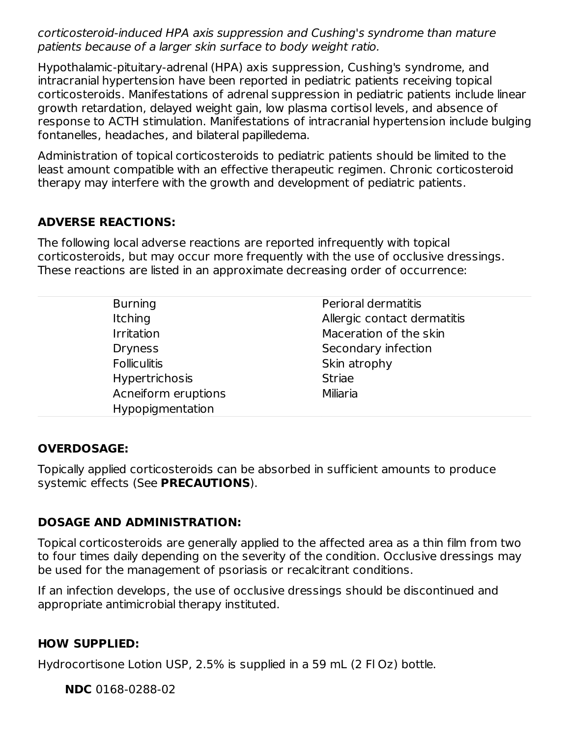corticosteroid-induced HPA axis suppression and Cushing's syndrome than mature patients because of a larger skin surface to body weight ratio.

Hypothalamic-pituitary-adrenal (HPA) axis suppression, Cushing's syndrome, and intracranial hypertension have been reported in pediatric patients receiving topical corticosteroids. Manifestations of adrenal suppression in pediatric patients include linear growth retardation, delayed weight gain, low plasma cortisol levels, and absence of response to ACTH stimulation. Manifestations of intracranial hypertension include bulging fontanelles, headaches, and bilateral papilledema.

Administration of topical corticosteroids to pediatric patients should be limited to the least amount compatible with an effective therapeutic regimen. Chronic corticosteroid therapy may interfere with the growth and development of pediatric patients.

## **ADVERSE REACTIONS:**

The following local adverse reactions are reported infrequently with topical corticosteroids, but may occur more frequently with the use of occlusive dressings. These reactions are listed in an approximate decreasing order of occurrence:

| <b>Burning</b>        | Perioral dermatitis         |
|-----------------------|-----------------------------|
| <b>Itching</b>        | Allergic contact dermatitis |
| Irritation            | Maceration of the skin      |
| <b>Dryness</b>        | Secondary infection         |
| <b>Folliculitis</b>   | Skin atrophy                |
| <b>Hypertrichosis</b> | <b>Striae</b>               |
| Acneiform eruptions   | Miliaria                    |
| Hypopigmentation      |                             |

# **OVERDOSAGE:**

Topically applied corticosteroids can be absorbed in sufficient amounts to produce systemic effects (See **PRECAUTIONS**).

# **DOSAGE AND ADMINISTRATION:**

Topical corticosteroids are generally applied to the affected area as a thin film from two to four times daily depending on the severity of the condition. Occlusive dressings may be used for the management of psoriasis or recalcitrant conditions.

If an infection develops, the use of occlusive dressings should be discontinued and appropriate antimicrobial therapy instituted.

# **HOW SUPPLIED:**

Hydrocortisone Lotion USP, 2.5% is supplied in a 59 mL (2 Fl Oz) bottle.

**NDC** 0168-0288-02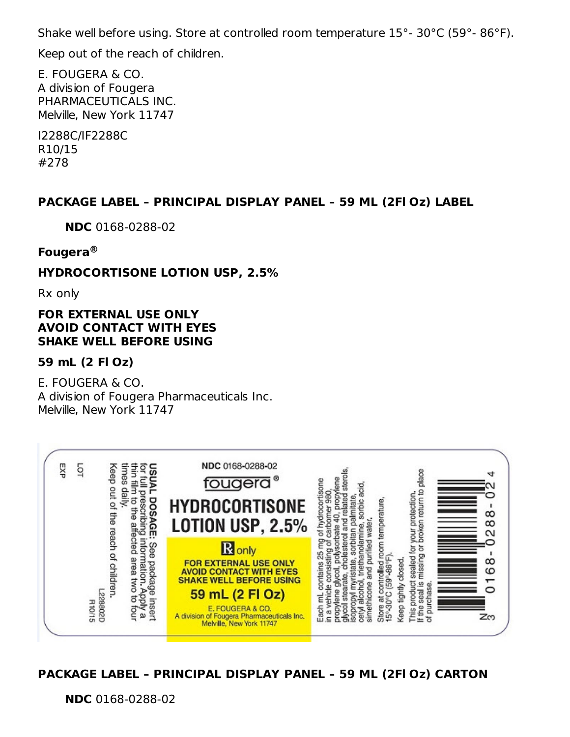Shake well before using. Store at controlled room temperature 15°- 30°C (59°- 86°F).

Keep out of the reach of children.

E. FOUGERA & CO. A division of Fougera PHARMACEUTICALS INC. Melville, New York 11747

I2288C/IF2288C R10/15 #278

#### **PACKAGE LABEL – PRINCIPAL DISPLAY PANEL – 59 ML (2Fl Oz) LABEL**

**NDC** 0168-0288-02

## **Fougera ®**

#### **HYDROCORTISONE LOTION USP, 2.5%**

Rx only

#### **FOR EXTERNAL USE ONLY AVOID CONTACT WITH EYES SHAKE WELL BEFORE USING**

#### **59 mL (2 Fl Oz)**

E. FOUGERA & CO. A division of Fougera Pharmaceuticals Inc. Melville, New York 11747

| EXP | ā<br>Keep<br>out of<br>₿                 | ₫<br>imes<br>daily.<br>rescribing<br>ຮ<br><b>SOQ</b><br>₹<br>AGE:<br>巽<br>reach         | NDC 0168-0288-02<br>fougera<br><b>HYDROCORTISONE</b><br><b>LOTION USP, 2.5%</b>                                                                                                                                                    | sterol<br>propylene<br>of hydrocortisone<br>sorbic acid<br>carborner 980<br>lated<br>palmitate<br>Φ,<br>water.<br>gute<br>×<br>ysorbate<br>triethanolamine<br>sorbitan<br>and purified<br>consisting<br>g<br>ē<br>myristate<br>contains<br>ū<br>propylene glycol<br>stearate,<br>alcohol.<br>simethicone<br>in a vehicle<br><b>ISODIODY</b><br>Each ml<br>glycol<br>cetyl | temperature,<br>Store at controlled room<br>59°-86°F<br>$15^{\circ} - 30^{\circ}$ C | place<br>broken return to<br>your protection.                                                       | $\equiv$ | ᆉ<br>∞<br>$^\infty$<br>$\scriptstyle\sim$<br>$\infty$<br>$\circ$<br>Zო |
|-----|------------------------------------------|-----------------------------------------------------------------------------------------|------------------------------------------------------------------------------------------------------------------------------------------------------------------------------------------------------------------------------------|---------------------------------------------------------------------------------------------------------------------------------------------------------------------------------------------------------------------------------------------------------------------------------------------------------------------------------------------------------------------------|-------------------------------------------------------------------------------------|-----------------------------------------------------------------------------------------------------|----------|------------------------------------------------------------------------|
|     | of children.<br>228802D<br><b>R10/15</b> | esto<br>information.<br>See<br>area<br>package<br><b>S</b><br>Þ<br>용<br>៩<br>msert<br>ω | <b>R</b> only<br><b>FOR EXTERNAL USE ONLY</b><br><b>AVOID CONTACT WITH EYES</b><br><b>SHAKE WELL BEFORE USING</b><br>59 mL (2 FI Oz)<br>E. FOUGERA & CO.<br>A division of Fougera Pharmaceuticals Inc.<br>Melville, New York 11747 |                                                                                                                                                                                                                                                                                                                                                                           |                                                                                     | ò<br>sealed for<br>missing<br>Keep tightly closed<br>This product<br>seal is<br>purchase<br>Ë<br>៉ែ |          |                                                                        |

## **PACKAGE LABEL – PRINCIPAL DISPLAY PANEL – 59 ML (2Fl Oz) CARTON**

**NDC** 0168-0288-02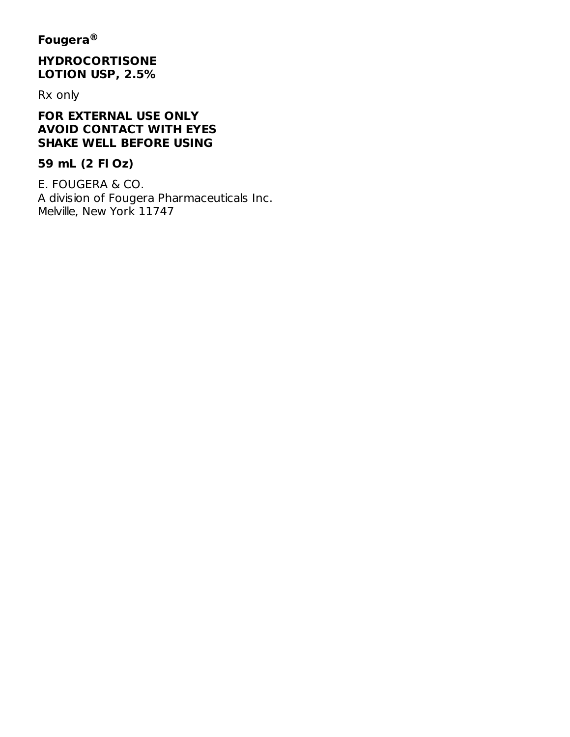### **Fougera ®**

#### **HYDROCORTISONE LOTION USP, 2.5%**

Rx only

#### **FOR EXTERNAL USE ONLY AVOID CONTACT WITH EYES SHAKE WELL BEFORE USING**

## **59 mL (2 Fl Oz)**

E. FOUGERA & CO. A division of Fougera Pharmaceuticals Inc. Melville, New York 11747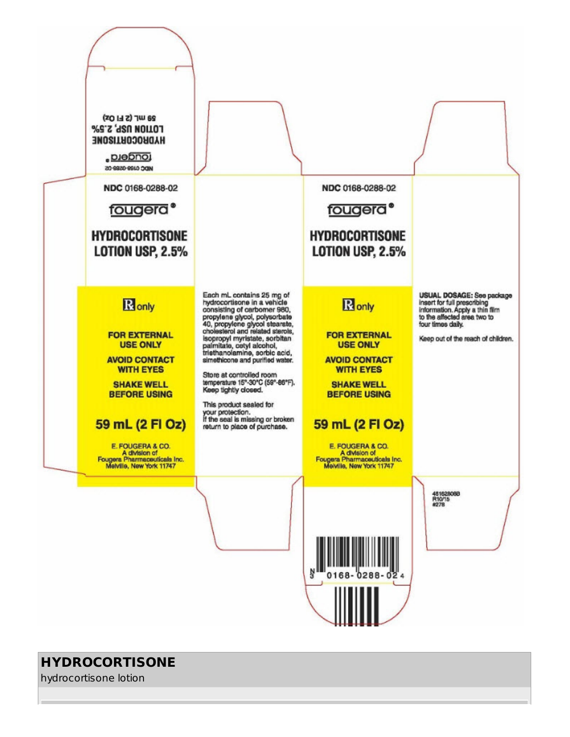

# **HYDROCORTISONE**

hydrocortisone lotion